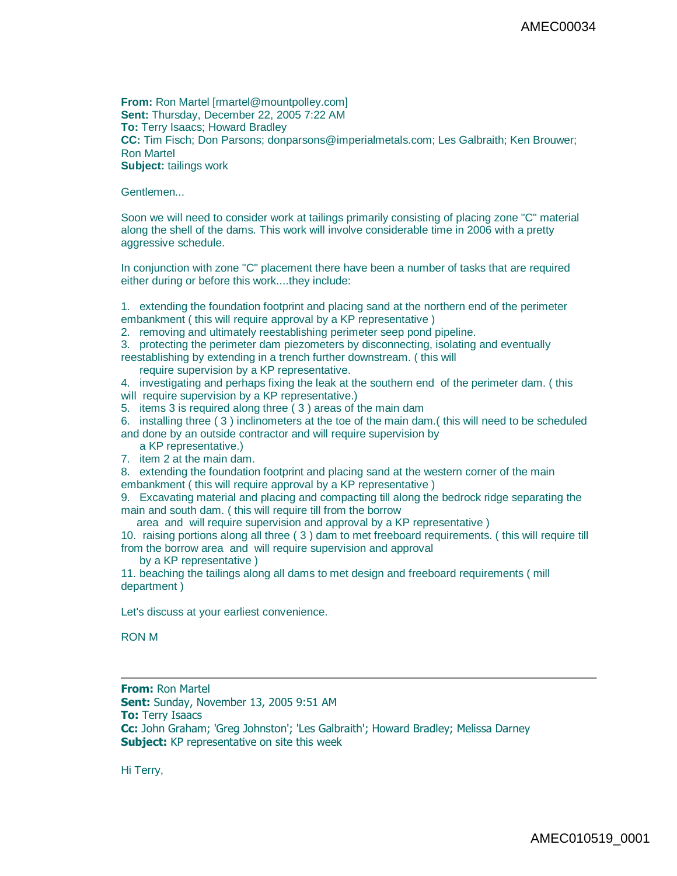**From:** Ron Martel [\[rmartel@mountpolley.com\]](mailto:rmartel@mountpolley.com) **Sent:** Thursday, December 22, 2005 7:22 AM **To:** Terry Isaacs; Howard Bradley **CC:** Tim Fisch; Don Parsons; [donparsons@imperialmetals.com;](mailto:donparsons@imperialmetals.com;) Les Galbraith; Ken Brouwer; Ron Martel **Subject:** tailings work

Gentlemen...

Soon we will need to consider work at tailings primarily consisting of placing zone "C" material along the shell of the dams. This work will involve considerable time in 2006 with a pretty aggressive schedule.

In conjunction with zone "C" placement there have been a number of tasks that are required either during or before this work....they include:

1. extending the foundation footprint and placing sand at the northern end of the perimeter embankment ( this will require approval by a KP representative )

2. removing and ultimately reestablishing perimeter seep pond pipeline.

3. protecting the perimeter dam piezometers by disconnecting, isolating and eventually reestablishing by extending in a trench further downstream. ( this will

require supervision by a KP representative.

4. investigating and perhaps fixing the leak at the southern end of the perimeter dam. ( this will require supervision by a KP representative.)

5. items 3 is required along three ( 3 ) areas of the main dam

6. installing three ( 3 ) inclinometers at the toe of the main dam.( this will need to be scheduled and done by an outside contractor and will require supervision by

a KP representative.)

7. item 2 at the main dam.

8. extending the foundation footprint and placing sand at the western corner of the main embankment ( this will require approval by a KP representative )

9. Excavating material and placing and compacting till along the bedrock ridge separating the main and south dam. ( this will require till from the borrow

area and will require supervision and approval by a KP representative )

10. raising portions along all three ( 3 ) dam to met freeboard requirements. ( this will require till from the borrow area and will require supervision and approval

by a KP representative )

11. beaching the tailings along all dams to met design and freeboard requirements ( mill department )

Let's discuss at your earliest convenience.

RON M

**From:** Ron Martel **Sent:** Sunday, November 13, 2005 9:51 AM **To:** Terry Isaacs **Cc:** John Graham; 'Greg Johnston'; 'Les Galbraith'; Howard Bradley; Melissa Darney **Subject:** KP representative on site this week

Hi Terry,